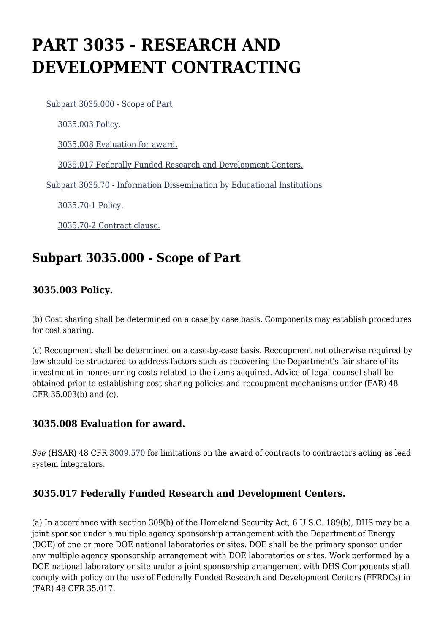# **PART 3035 - RESEARCH AND DEVELOPMENT CONTRACTING**

[Subpart 3035.000 - Scope of Part](https://origin-www.acquisition.gov/%5Brp:link:hsar-part-3035%5D#Subpart_3035_000_T48_70213351)

[3035.003 Policy.](https://origin-www.acquisition.gov/%5Brp:link:hsar-part-3035%5D#Section_3035_003_T48_7021335111)

[3035.008 Evaluation for award.](https://origin-www.acquisition.gov/%5Brp:link:hsar-part-3035%5D#Section_3035_008_T48_7021335112)

[3035.017 Federally Funded Research and Development Centers.](https://origin-www.acquisition.gov/%5Brp:link:hsar-part-3035%5D#Section_3035_017_T48_7021335113)

[Subpart 3035.70 - Information Dissemination by Educational Institutions](https://origin-www.acquisition.gov/%5Brp:link:hsar-part-3035%5D#Subpart_3035_70_T48_70213352)

[3035.70-1 Policy.](https://origin-www.acquisition.gov/%5Brp:link:hsar-part-3035%5D#Section_3035_70_1_T48_7021335211)

[3035.70-2 Contract clause.](https://origin-www.acquisition.gov/%5Brp:link:hsar-part-3035%5D#Section_3035_70_2_T48_7021335212)

## **Subpart 3035.000 - Scope of Part**

### **3035.003 Policy.**

(b) Cost sharing shall be determined on a case by case basis. Components may establish procedures for cost sharing.

(c) Recoupment shall be determined on a case-by-case basis. Recoupment not otherwise required by law should be structured to address factors such as recovering the Department's fair share of its investment in nonrecurring costs related to the items acquired. Advice of legal counsel shall be obtained prior to establishing cost sharing policies and recoupment mechanisms under (FAR) 48 CFR 35.003(b) and (c).

#### **3035.008 Evaluation for award.**

*See* (HSAR) 48 CFR [3009.570](https://origin-www.acquisition.gov/%5Brp:link:hsar-part-3009%5D#Section_3009_570_T48_702910314) for limitations on the award of contracts to contractors acting as lead system integrators.

#### **3035.017 Federally Funded Research and Development Centers.**

(a) In accordance with section 309(b) of the Homeland Security Act, 6 U.S.C. 189(b), DHS may be a joint sponsor under a multiple agency sponsorship arrangement with the Department of Energy (DOE) of one or more DOE national laboratories or sites. DOE shall be the primary sponsor under any multiple agency sponsorship arrangement with DOE laboratories or sites. Work performed by a DOE national laboratory or site under a joint sponsorship arrangement with DHS Components shall comply with policy on the use of Federally Funded Research and Development Centers (FFRDCs) in (FAR) 48 CFR 35.017.